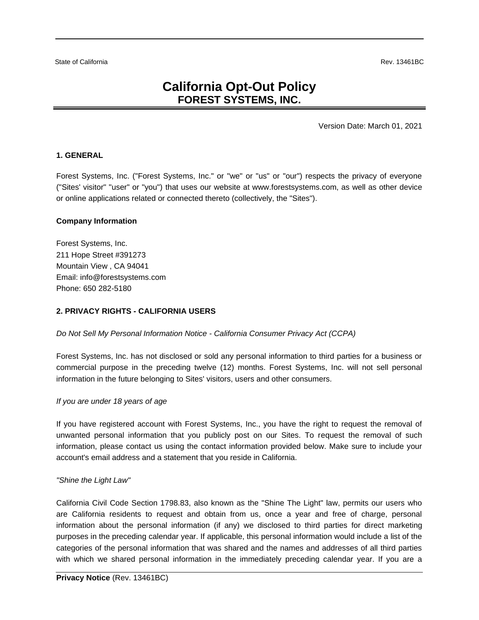# **California Opt-Out Policy FOREST SYSTEMS, INC.**

Version Date: March 01, 2021

### **1. GENERAL**

Forest Systems, Inc. ("Forest Systems, Inc." or "we" or "us" or "our") respects the privacy of everyone ("Sites' visitor" "user" or "you") that uses our website at www.forestsystems.com, as well as other device or online applications related or connected thereto (collectively, the "Sites").

#### **Company Information**

Forest Systems, Inc. 211 Hope Street #391273 Mountain View , CA 94041 Email: info@forestsystems.com Phone: 650 282-5180

## **2. PRIVACY RIGHTS - CALIFORNIA USERS**

*Do Not Sell My Personal Information Notice - California Consumer Privacy Act (CCPA)*

Forest Systems, Inc. has not disclosed or sold any personal information to third parties for a business or commercial purpose in the preceding twelve (12) months. Forest Systems, Inc. will not sell personal information in the future belonging to Sites' visitors, users and other consumers.

#### *If you are under 18 years of age*

If you have registered account with Forest Systems, Inc., you have the right to request the removal of unwanted personal information that you publicly post on our Sites. To request the removal of such information, please contact us using the contact information provided below. Make sure to include your account's email address and a statement that you reside in California.

#### *"Shine the Light Law"*

California Civil Code Section 1798.83, also known as the "Shine The Light" law, permits our users who are California residents to request and obtain from us, once a year and free of charge, personal information about the personal information (if any) we disclosed to third parties for direct marketing purposes in the preceding calendar year. If applicable, this personal information would include a list of the categories of the personal information that was shared and the names and addresses of all third parties with which we shared personal information in the immediately preceding calendar year. If you are a